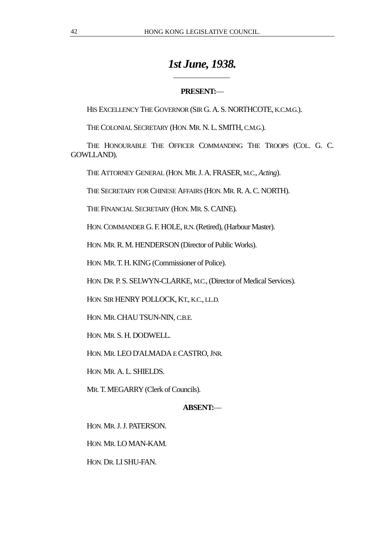# *1st June, 1938.*

# **PRESENT:**—

HIS EXCELLENCY THE GOVERNOR (SIR G. A. S. NORTHCOTE, K.C.M.G.).

THE COLONIAL SECRETARY (HON. MR. N. L. SMITH, C.M.G.).

 $\overline{a}$ 

THE HONOURABLE THE OFFICER COMMANDING THE TROOPS (COL. G. C. GOWLLAND).

THE ATTORNEY GENERAL (HON. MR. J. A. FRASER, M.C., *Acting*).

THE SECRETARY FOR CHINESE AFFAIRS (HON. MR. R. A. C. NORTH).

THE FINANCIAL SECRETARY (HON. MR. S. CAINE).

HON. COMMANDER G. F. HOLE, R.N. (Retired), (Harbour Master).

HON. MR. R. M. HENDERSON (Director of Public Works).

HON. MR. T. H. KING (Commissioner of Police).

HON. DR. P. S. SELWYN-CLARKE, M.C., (Director of Medical Services).

HON. SIR HENRY POLLOCK, KT., K.C., LL.D.

HON. MR. CHAU TSUN-NIN, C.B.E.

HON. MR. S. H. DODWELL.

HON. MR. LEO D'ALMADA E CASTRO, JNR.

HON. MR. A. L. SHIELDS.

MR. T. MEGARRY (Clerk of Councils).

# **ABSENT:**—

HON. MR. J. J. PATERSON.

HON. MR. LO MAN-KAM.

HON. DR. LI SHU-FAN.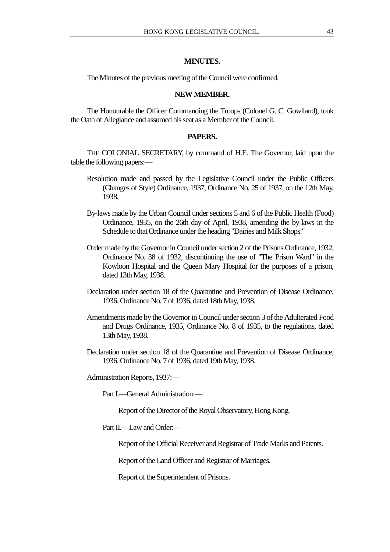# **MINUTES.**

The Minutes of the previous meeting of the Council were confirmed.

#### **NEW MEMBER.**

The Honourable the Officer Commanding the Troops (Colonel G. C. Gowlland), took the Oath of Allegiance and assumed his seat as a Member of the Council.

## **PAPERS.**

THE COLONIAL SECRETARY, by command of H.E. The Governor, laid upon the table the following papers:—

- Resolution made and passed by the Legislative Council under the Public Officers (Changes of Style) Ordinance, 1937, Ordinance No. 25 of 1937, on the 12th May, 1938.
- By-laws made by the Urban Council under sections 5 and 6 of the Public Health (Food) Ordinance, 1935, on the 26th day of April, 1938, amending the by-laws in the Schedule to that Ordinance under the heading "Dairies and Milk Shops."
- Order made by the Governor in Council under section 2 of the Prisons Ordinance, 1932, Ordinance No. 38 of 1932, discontinuing the use of "The Prison Ward" in the Kowloon Hospital and the Queen Mary Hospital for the purposes of a prison, dated 13th May, 1938.
- Declaration under section 18 of the Quarantine and Prevention of Disease Ordinance, 1936, Ordinance No. 7 of 1936, dated 18th May, 1938.
- Amendments made by the Governor in Council under section 3 of the Adulterated Food and Drugs Ordinance, 1935, Ordinance No. 8 of 1935, to the regulations, dated 13th May, 1938.
- Declaration under section 18 of the Quarantine and Prevention of Disease Ordinance, 1936, Ordinance No. 7 of 1936, dated 19th May, 1938.

Administration Reports, 1937:—

Part I.—General Administration:—

Report of the Director of the Royal Observatory, Hong Kong.

Part II.—I aw and Order:—

Report of the Official Receiver and Registrar of Trade Marks and Patents.

Report of the Land Officer and Registrar of Marriages.

Report of the Superintendent of Prisons.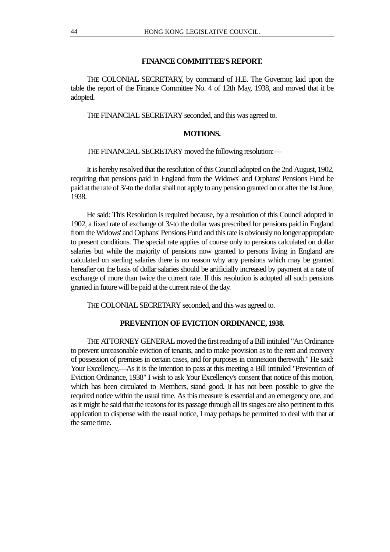# **FINANCE COMMITTEE'S REPORT.**

THE COLONIAL SECRETARY, by command of H.E. The Governor, laid upon the table the report of the Finance Committee No. 4 of 12th May, 1938, and moved that it be adopted.

THE FINANCIAL SECRETARY seconded, and this was agreed to.

# **MOTIONS.**

THE FINANCIAL SECRETARY moved the following resolution:—

It is hereby resolved that the resolution of this Council adopted on the 2nd August, 1902, requiring that pensions paid in England from the Widows' and Orphans' Pensions Fund be paid at the rate of 3/-to the dollar shall not apply to any pension granted on or after the 1st June, 1938.

He said: This Resolution is required because, by a resolution of this Council adopted in 1902, a fixed rate of exchange of 3/-to the dollar was prescribed for pensions paid in England from the Widows' and Orphans' Pensions Fund and this rate is obviously no longer appropriate to present conditions. The special rate applies of course only to pensions calculated on dollar salaries but while the majority of pensions now granted to persons living in England are calculated on sterling salaries there is no reason why any pensions which may be granted hereafter on the basis of dollar salaries should be artificially increased by payment at a rate of exchange of more than twice the current rate. If this resolution is adopted all such pensions granted in future will be paid at the current rate of the day.

THE COLONIAL SECRETARY seconded, and this was agreed to.

#### **PREVENTION OF EVICTION ORDINANCE, 1938.**

THE ATTORNEY GENERAL moved the first reading of a Bill intituled "An Ordinance to prevent unreasonable eviction of tenants, and to make provision as to the rent and recovery of possession of premises in certain cases, and for purposes in connexion therewith." He said: Your Excellency,—As it is the intention to pass at this meeting a Bill intituled "Prevention of Eviction Ordinance, 1938" I wish to ask Your Excellency's consent that notice of this motion, which has been circulated to Members, stand good. It has not been possible to give the required notice within the usual time. As this measure is essential and an emergency one, and as it might be said that the reasons for its passage through all its stages are also pertinent to this application to dispense with the usual notice, I may perhaps be permitted to deal with that at the same time.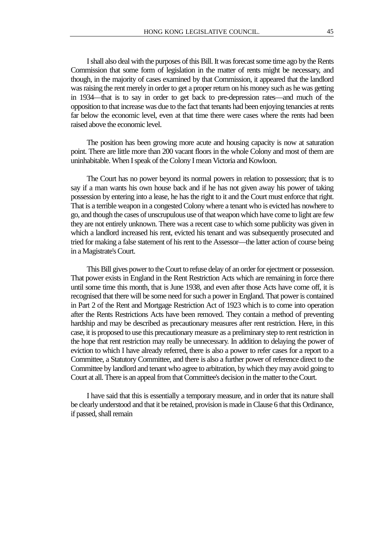I shall also deal with the purposes of this Bill. It was forecast some time ago by the Rents Commission that some form of legislation in the matter of rents might be necessary, and though, in the majority of cases examined by that Commission, it appeared that the landlord was raising the rent merely in order to get a proper return on his money such as he was getting in 1934—that is to say in order to get back to pre-depression rates—and much of the opposition to that increase was due to the fact that tenants had been enjoying tenancies at rents far below the economic level, even at that time there were cases where the rents had been raised above the economic level.

The position has been growing more acute and housing capacity is now at saturation point. There are little more than 200 vacant floors in the whole Colony and most of them are uninhabitable. When I speak of the Colony I mean Victoria and Kowloon.

The Court has no power beyond its normal powers in relation to possession; that is to say if a man wants his own house back and if he has not given away his power of taking possession by entering into a lease, he has the right to it and the Court must enforce that right. That is a terrible weapon in a congested Colony where a tenant who is evicted has nowhere to go, and though the cases of unscrupulous use of that weapon which have come to light are few they are not entirely unknown. There was a recent case to which some publicity was given in which a landlord increased his rent, evicted his tenant and was subsequently prosecuted and tried for making a false statement of his rent to the Assessor—the latter action of course being in a Magistrate's Court.

This Bill gives power to the Court to refuse delay of an order for ejectment or possession. That power exists in England in the Rent Restriction Acts which are remaining in force there until some time this month, that is June 1938, and even after those Acts have come off, it is recognised that there will be some need for such a power in England. That power is contained in Part 2 of the Rent and Mortgage Restriction Act of 1923 which is to come into operation after the Rents Restrictions Acts have been removed. They contain a method of preventing hardship and may be described as precautionary measures after rent restriction. Here, in this case, it is proposed to use this precautionary measure as a preliminary step to rent restriction in the hope that rent restriction may really be unnecessary. In addition to delaying the power of eviction to which I have already referred, there is also a power to refer cases for a report to a Committee, a Statutory Committee, and there is also a further power of reference direct to the Committee by landlord and tenant who agree to arbitration, by which they may avoid going to Court at all. There is an appeal from that Committee's decision in the matter to the Court.

I have said that this is essentially a temporary measure, and in order that its nature shall be clearly understood and that it be retained, provision is made in Clause 6 that this Ordinance, if passed, shall remain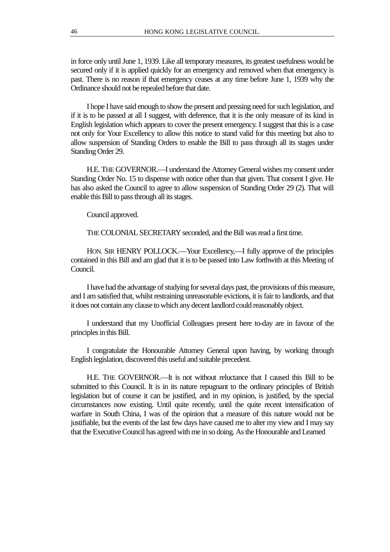in force only until June 1, 1939. Like all temporary measures, its greatest usefulness would be secured only if it is applied quickly for an emergency and removed when that emergency is past. There is no reason if that emergency ceases at any time before June 1, 1939 why the Ordinance should not be repealed before that date.

I hope I have said enough to show the present and pressing need for such legislation, and if it is to be passed at all I suggest, with deference, that it is the only measure of its kind in English legislation which appears to cover the present emergency. I suggest that this is a case not only for Your Excellency to allow this notice to stand valid for this meeting but also to allow suspension of Standing Orders to enable the Bill to pass through all its stages under Standing Order 29.

H.E. THE GOVERNOR.—I understand the Attorney General wishes my consent under Standing Order No. 15 to dispense with notice other than that given. That consent I give. He has also asked the Council to agree to allow suspension of Standing Order 29 (2). That will enable this Bill to pass through all its stages.

Council approved.

THE COLONIAL SECRETARY seconded, and the Bill was read a first time.

HON. SIR HENRY POLLOCK.—Your Excellency,—I fully approve of the principles contained in this Bill and am glad that it is to be passed into Law forthwith at this Meeting of Council.

I have had the advantage of studying for several days past, the provisions of this measure, and I am satisfied that, whilst restraining unreasonable evictions, it is fair to landlords, and that it does not contain any clause to which any decent landlord could reasonably object.

I understand that my Unofficial Colleagues present here to-day are in favour of the principles in this Bill.

I congratulate the Honourable Attorney General upon having, by working through English legislation, discovered this useful and suitable precedent.

H.E. THE GOVERNOR.—It is not without reluctance that I caused this Bill to be submitted to this Council. It is in its nature repugnant to the ordinary principles of British legislation but of course it can be justified, and in my opinion, is justified, by the special circumstances now existing. Until quite recently, until the quite recent intensification of warfare in South China, I was of the opinion that a measure of this nature would not be justifiable, but the events of the last few days have caused me to alter my view and I may say that the Executive Council has agreed with me in so doing. As the Honourable and Learned